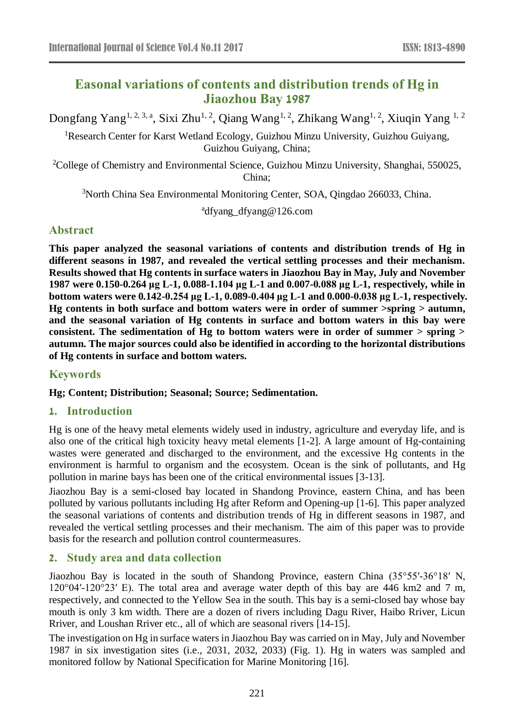# **Easonal variations of contents and distribution trends of Hg in Jiaozhou Bay 1987**

Dongfang Yang<sup>1, 2, 3, a</sup>, Sixi Zhu<sup>1, 2</sup>, Qiang Wang<sup>1, 2</sup>, Zhikang Wang<sup>1, 2</sup>, Xiuqin Yang <sup>1, 2</sup>

<sup>1</sup>Research Center for Karst Wetland Ecology, Guizhou Minzu University, Guizhou Guiyang, Guizhou Guiyang, China;

<sup>2</sup>College of Chemistry and Environmental Science, Guizhou Minzu University, Shanghai, 550025, China;

<sup>3</sup>North China Sea Environmental Monitoring Center, SOA, Qingdao 266033, China.

a dfyang\_dfyang@126.com

## **Abstract**

**This paper analyzed the seasonal variations of contents and distribution trends of Hg in different seasons in 1987, and revealed the vertical settling processes and their mechanism. Results showed that Hg contents in surface waters in Jiaozhou Bay in May, July and November 1987 were 0.150-0.264 μg L-1, 0.088-1.104 μg L-1 and 0.007-0.088 μg L-1, respectively, while in bottom waters were 0.142-0.254 μg L-1, 0.089-0.404 μg L-1 and 0.000-0.038 μg L-1, respectively. Hg contents in both surface and bottom waters were in order of summer >spring > autumn, and the seasonal variation of Hg contents in surface and bottom waters in this bay were consistent. The sedimentation of Hg to bottom waters were in order of summer > spring > autumn. The major sources could also be identified in according to the horizontal distributions of Hg contents in surface and bottom waters.**

## **Keywords**

#### **Hg; Content; Distribution; Seasonal; Source; Sedimentation.**

## **1. Introduction**

Hg is one of the heavy metal elements widely used in industry, agriculture and everyday life, and is also one of the critical high toxicity heavy metal elements [1-2]. A large amount of Hg-containing wastes were generated and discharged to the environment, and the excessive Hg contents in the environment is harmful to organism and the ecosystem. Ocean is the sink of pollutants, and Hg pollution in marine bays has been one of the critical environmental issues [3-13].

Jiaozhou Bay is a semi-closed bay located in Shandong Province, eastern China, and has been polluted by various pollutants including Hg after Reform and Opening-up [1-6]. This paper analyzed the seasonal variations of contents and distribution trends of Hg in different seasons in 1987, and revealed the vertical settling processes and their mechanism. The aim of this paper was to provide basis for the research and pollution control countermeasures.

## **2. Study area and data collection**

Jiaozhou Bay is located in the south of Shandong Province, eastern China (35°55′-36°18′ N,  $120^{\circ}04'$ -120°23′ E). The total area and average water depth of this bay are 446 km2 and 7 m, respectively, and connected to the Yellow Sea in the south. This bay is a semi-closed bay whose bay mouth is only 3 km width. There are a dozen of rivers including Dagu River, Haibo Rriver, Licun Rriver, and Loushan Rriver etc., all of which are seasonal rivers [14-15].

The investigation on Hg in surface waters in Jiaozhou Bay was carried on in May, July and November 1987 in six investigation sites (i.e., 2031, 2032, 2033) (Fig. 1). Hg in waters was sampled and monitored follow by National Specification for Marine Monitoring [16].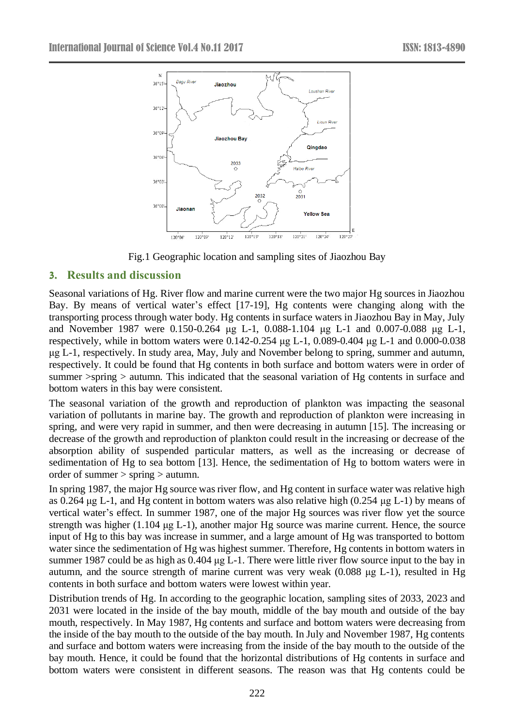

Fig.1 Geographic location and sampling sites of Jiaozhou Bay

## **3. Results and discussion**

Seasonal variations of Hg. River flow and marine current were the two major Hg sources in Jiaozhou Bay. By means of vertical water's effect [17-19], Hg contents were changing along with the transporting process through water body. Hg contents in surface waters in Jiaozhou Bay in May, July and November 1987 were 0.150-0.264 μg L-1, 0.088-1.104 μg L-1 and 0.007-0.088 μg L-1, respectively, while in bottom waters were 0.142-0.254 μg L-1, 0.089-0.404 μg L-1 and 0.000-0.038 μg L-1, respectively. In study area, May, July and November belong to spring, summer and autumn, respectively. It could be found that Hg contents in both surface and bottom waters were in order of summer >spring > autumn. This indicated that the seasonal variation of Hg contents in surface and bottom waters in this bay were consistent.

The seasonal variation of the growth and reproduction of plankton was impacting the seasonal variation of pollutants in marine bay. The growth and reproduction of plankton were increasing in spring, and were very rapid in summer, and then were decreasing in autumn [15]. The increasing or decrease of the growth and reproduction of plankton could result in the increasing or decrease of the absorption ability of suspended particular matters, as well as the increasing or decrease of sedimentation of Hg to sea bottom [13]. Hence, the sedimentation of Hg to bottom waters were in order of summer > spring > autumn.

In spring 1987, the major Hg source was river flow, and Hg content in surface water was relative high as 0.264 μg L-1, and Hg content in bottom waters was also relative high (0.254 μg L-1) by means of vertical water's effect. In summer 1987, one of the major Hg sources was river flow yet the source strength was higher (1.104 μg L-1), another major Hg source was marine current. Hence, the source input of Hg to this bay was increase in summer, and a large amount of Hg was transported to bottom water since the sedimentation of Hg was highest summer. Therefore, Hg contents in bottom waters in summer 1987 could be as high as 0.404 μg L-1. There were little river flow source input to the bay in autumn, and the source strength of marine current was very weak (0.088 μg L-1), resulted in Hg contents in both surface and bottom waters were lowest within year.

Distribution trends of Hg. In according to the geographic location, sampling sites of 2033, 2023 and 2031 were located in the inside of the bay mouth, middle of the bay mouth and outside of the bay mouth, respectively. In May 1987, Hg contents and surface and bottom waters were decreasing from the inside of the bay mouth to the outside of the bay mouth. In July and November 1987, Hg contents and surface and bottom waters were increasing from the inside of the bay mouth to the outside of the bay mouth. Hence, it could be found that the horizontal distributions of Hg contents in surface and bottom waters were consistent in different seasons. The reason was that Hg contents could be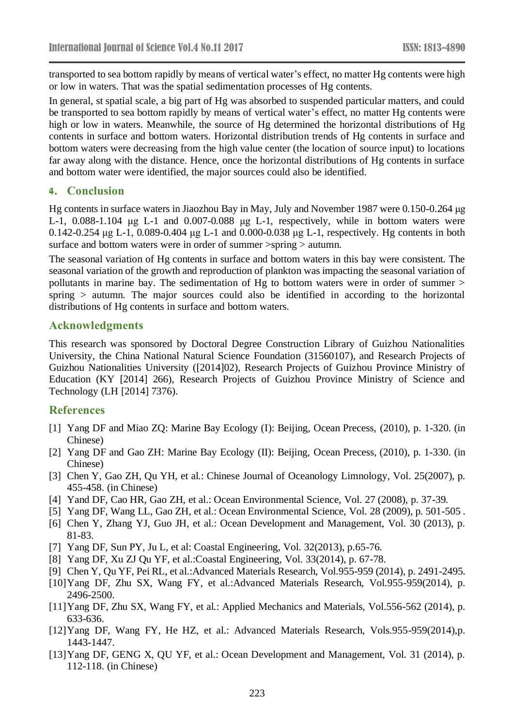transported to sea bottom rapidly by means of vertical water's effect, no matter Hg contents were high or low in waters. That was the spatial sedimentation processes of Hg contents.

In general, st spatial scale, a big part of Hg was absorbed to suspended particular matters, and could be transported to sea bottom rapidly by means of vertical water's effect, no matter Hg contents were high or low in waters. Meanwhile, the source of Hg determined the horizontal distributions of Hg contents in surface and bottom waters. Horizontal distribution trends of Hg contents in surface and bottom waters were decreasing from the high value center (the location of source input) to locations far away along with the distance. Hence, once the horizontal distributions of Hg contents in surface and bottom water were identified, the major sources could also be identified.

### **4. Conclusion**

Hg contents in surface waters in Jiaozhou Bay in May, July and November 1987 were 0.150-0.264 μg L-1, 0.088-1.104 μg L-1 and 0.007-0.088 μg L-1, respectively, while in bottom waters were 0.142-0.254 μg L-1, 0.089-0.404 μg L-1 and 0.000-0.038 μg L-1, respectively. Hg contents in both surface and bottom waters were in order of summer  $>$ spring  $>$  autumn.

The seasonal variation of Hg contents in surface and bottom waters in this bay were consistent. The seasonal variation of the growth and reproduction of plankton was impacting the seasonal variation of pollutants in marine bay. The sedimentation of Hg to bottom waters were in order of summer > spring > autumn. The major sources could also be identified in according to the horizontal distributions of Hg contents in surface and bottom waters.

### **Acknowledgments**

This research was sponsored by Doctoral Degree Construction Library of Guizhou Nationalities University, the China National Natural Science Foundation (31560107), and Research Projects of Guizhou Nationalities University ([2014]02), Research Projects of Guizhou Province Ministry of Education (KY [2014] 266), Research Projects of Guizhou Province Ministry of Science and Technology (LH [2014] 7376).

#### **References**

- [1] Yang DF and Miao ZQ: Marine Bay Ecology (I): Beijing, Ocean Precess, (2010), p. 1-320. (in Chinese)
- [2] Yang DF and Gao ZH: Marine Bay Ecology (II): Beijing, Ocean Precess, (2010), p. 1-330. (in Chinese)
- [3] Chen Y, Gao ZH, Qu YH, et al.: Chinese Journal of Oceanology Limnology, Vol. 25(2007), p. 455-458. (in Chinese)
- [4] Yand DF, Cao HR, Gao ZH, et al.: Ocean Environmental Science, Vol. 27 (2008), p. 37-39.
- [5] Yang DF, Wang LL, Gao ZH, et al.: Ocean Environmental Science, Vol. 28 (2009), p. 501-505 .
- [6] Chen Y, Zhang YJ, Guo JH, et al.: Ocean Development and Management, Vol. 30 (2013), p. 81-83.
- [7] Yang DF, Sun PY, Ju L, et al: Coastal Engineering, Vol. 32(2013), p.65-76.
- [8] Yang DF, Xu ZJ Qu YF, et al.:Coastal Engineering, Vol. 33(2014), p. 67-78.
- [9] Chen Y, Qu YF, Pei RL, et al.:Advanced Materials Research, Vol.955-959 (2014), p. 2491-2495.
- [10]Yang DF, Zhu SX, Wang FY, et al.:Advanced Materials Research, Vol.955-959(2014), p. 2496-2500.
- [11]Yang DF, Zhu SX, Wang FY, et al.: Applied Mechanics and Materials, Vol.556-562 (2014), p. 633-636.
- [12]Yang DF, Wang FY, He HZ, et al.: Advanced Materials Research, Vols.955-959(2014),p. 1443-1447.
- [13] Yang DF, GENG X, QU YF, et al.: Ocean Development and Management, Vol. 31 (2014), p. 112-118. (in Chinese)